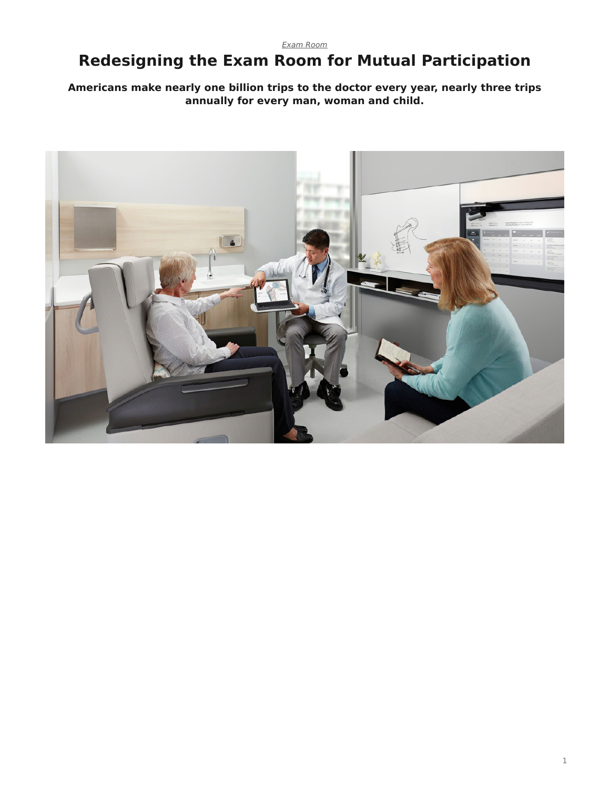#### *[Exam Room](https://www.steelcase.com/research/topics/medical-exam-room/)*

# <span id="page-0-0"></span>**Redesigning the Exam Room for Mutual Participation**

**Americans make nearly one billion trips to the doctor every year, nearly three trips annually for every man, woman and child.**

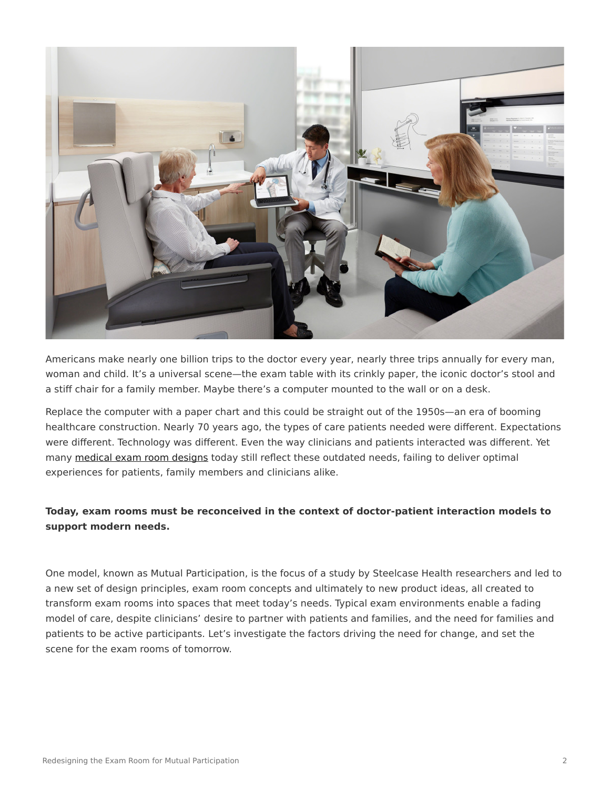

Americans make nearly one billion trips to the doctor every year, nearly three trips annually for every man, woman and child. It's a universal scene—the exam table with its crinkly paper, the iconic doctor's stool and a stiff chair for a family member. Maybe there's a computer mounted to the wall or on a desk.

Replace the computer with a paper chart and this could be straight out of the 1950s—an era of booming healthcare construction. Nearly 70 years ago, the types of care patients needed were different. Expectations were different. Technology was different. Even the way clinicians and patients interacted was different. Yet many [medical exam room designs](https://www.steelcase.com/spaces-inspiration/health-spaces-exam/) today still reflect these outdated needs, failing to deliver optimal experiences for patients, family members and clinicians alike.

#### **Today, exam rooms must be reconceived in the context of doctor-patient interaction models to support modern needs.**

One model, known as Mutual Participation, is the focus of a study by Steelcase Health researchers and led to a new set of design principles, exam room concepts and ultimately to new product ideas, all created to transform exam rooms into spaces that meet today's needs. Typical exam environments enable a fading model of care, despite clinicians' desire to partner with patients and families, and the need for families and patients to be active participants. Let's investigate the factors driving the need for change, and set the scene for the exam rooms of tomorrow.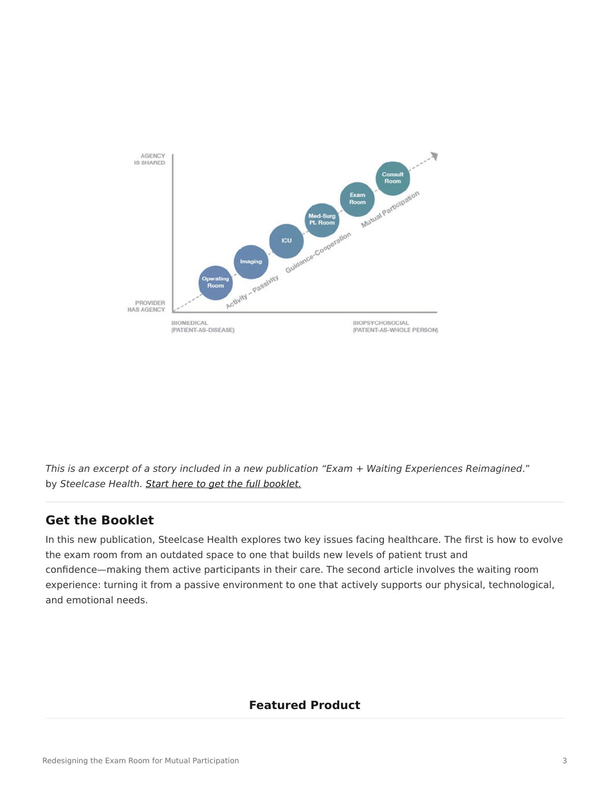

*This is an excerpt of a story included in a new publication "Exam + Waiting Experiences Reimagined*." by *Steelcase Health. [Start here to get the full booklet.](http://info.steelcase.com/steelcase-health-special-edition-download?utm_source=Steelcase.com&utm_medium=BlogPost&utm_campaign=2016-NeoCon-Health)*

## **Get the Booklet**

In this new publication, Steelcase Health explores two key issues facing healthcare. The first is how to evolve the exam room from an outdated space to one that builds new levels of patient trust and confidence—making them active participants in their care. The second article involves the waiting room experience: turning it from a passive environment to one that actively supports our physical, technological, and emotional needs.

### **Featured Product**